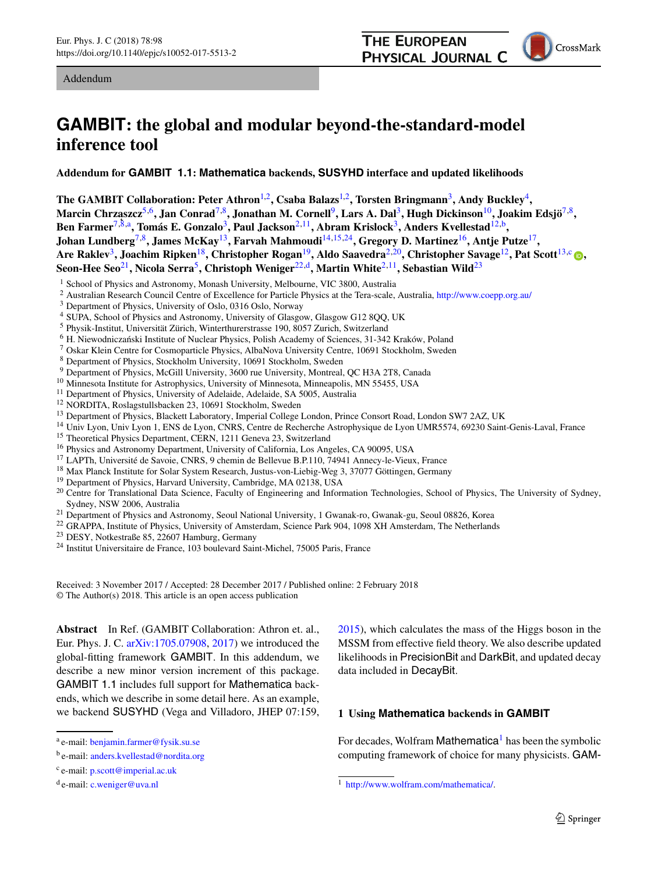<span id="page-0-5"></span><span id="page-0-3"></span><span id="page-0-1"></span><span id="page-0-0"></span>

# **GAMBIT: the global and modular beyond-the-standard-model inference tool**

**Addendum for GAMBIT 1.1: Mathematica backends, SUSYHD interface and updated likelihoods**

**The GAMBIT Collaboration: Peter Athron**[1,2](#page-0-0)**, Csaba Balazs**[1,2](#page-0-0)**, Torsten Bringmann**[3](#page-0-1)**, Andy Buckley**[4](#page-0-2)**, Marcin Chrza˛szcz**[5](#page-0-3)[,6](#page-0-4)**, Jan Conrad**[7](#page-0-5)[,8](#page-0-6)**, Jonathan M. Cornell**[9](#page-0-7)**, Lars A. Dal**[3](#page-0-1)**, Hugh Dickinson**[10](#page-0-8)**, Joakim Edsjö**[7](#page-0-5)[,8](#page-0-6)**, Ben Farmer**[7](#page-0-5)[,8,](#page-0-6)a**, Tomás E. Gonzalo**[3](#page-0-1)**, Paul Jackson**[2](#page-0-0)[,11](#page-0-9)**, Abram Krislock**[3](#page-0-1)**, Anders Kvellestad**[12,](#page-0-10)b**, Johan Lundberg**[7](#page-0-5)[,8](#page-0-6)**, James McKay**[13](#page-0-11)**, Farvah Mahmoudi**[14](#page-0-12)[,15](#page-0-13)[,24](#page-0-14)**, Gregory D. Martinez**[16](#page-0-15)**, Antje Putze**[17](#page-0-16)**, Are Raklev**[3](#page-0-1)**, Joachim Ripken**[18](#page-0-17)**, Christopher Rogan**[19](#page-0-18)**, Aldo Saavedra**[2](#page-0-0)[,20](#page-0-19)**, Christopher Savage**[12](#page-0-10)**, Pat Scott**[13,](#page-0-11)c **[,](http://orcid.org/0000-0002-3151-3701) Seon-Hee Seo**[21](#page-0-20)**, Nicola Serra**[5](#page-0-3)**, Christoph Weniger**[22,](#page-0-21)d**, Martin White**[2](#page-0-0)[,11](#page-0-9)**, Sebastian Wild**[23](#page-0-22)

- <sup>5</sup> Physik-Institut, Universität Zürich, Winterthurerstrasse 190, 8057 Zurich, Switzerland
- <sup>7</sup> Oskar Klein Centre for Cosmoparticle Physics, AlbaNova University Centre, 10691 Stockholm, Sweden
- 
- <sup>8</sup> Department of Physics, Stockholm University, 10691 Stockholm, Sweden<br><sup>9</sup> Department of Physics, McGill University, 3600 rue University, Montreal, QC H3A 2T8, Canada
- 
- 
- 
- 
- <sup>10</sup> Minnesota Institute for Astrophysics, University of Minnesota, Minneapolis, MN 55455, USA<br><sup>11</sup> Department of Physics, University of Adelaide, Adelaide, SA 5005, Australia<br><sup>12</sup> NORDITA, Roslagstullsbacken 23, 10691 Sto
- 
- 
- 
- 
- 
- <sup>16</sup> Physics and Astronomy Department, University of California, Los Angeles, CA 90095, USA<br><sup>17</sup> LAPTh, Université de Savoie, CNRS, 9 chemin de Bellevue B.P.110, 74941 Annecy-le-Vieux, France<br><sup>18</sup> Max Planck Institute for
- <span id="page-0-20"></span>
- <sup>21</sup> Department of Physics and Astronomy, Seoul National University, 1 Gwanak-ro, Gwanak-gu, Seoul 08826, Korea<br><sup>22</sup> GRAPPA, Institute of Physics, University of Amsterdam, Science Park 904, 1098 XH Amsterdam, The Netherla
- 
- 

Received: 3 November 2017 / Accepted: 28 December 2017 / Published online: 2 February 2018 © The Author(s) 2018. This article is an open access publication

**Abstract** In Ref. (GAMBIT Collaboration: Athron et. al., Eur. Phys. J. C. [arXiv:1705.07908,](http://arxiv.org/abs/1705.07908) [2017\)](#page-8-0) we introduced the global-fitting framework GAMBIT. In this addendum, we describe a new minor version increment of this package. GAMBIT 1.1 includes full support for Mathematica backends, which we describe in some detail here. As an example, we backend SUSYHD (Vega and Villadoro, JHEP 07:159, <span id="page-0-22"></span><span id="page-0-21"></span><span id="page-0-19"></span><span id="page-0-18"></span><span id="page-0-17"></span><span id="page-0-16"></span><span id="page-0-15"></span><span id="page-0-14"></span><span id="page-0-13"></span><span id="page-0-12"></span><span id="page-0-11"></span><span id="page-0-10"></span><span id="page-0-9"></span><span id="page-0-8"></span><span id="page-0-7"></span><span id="page-0-6"></span><span id="page-0-4"></span>[2015\)](#page-8-1), which calculates the mass of the Higgs boson in the MSSM from effective field theory. We also describe updated likelihoods in PrecisionBit and DarkBit, and updated decay data included in DecayBit.

# **1 Using Mathematica backends in GAMBIT**

For decades, Wolfram Mathematica<sup>[1](#page-0-23)</sup> has been the symbolic computing framework of choice for many physicists. GAM-

<sup>&</sup>lt;sup>1</sup> School of Physics and Astronomy, Monash University, Melbourne, VIC 3800, Australia

<sup>2</sup> Australian Research Council Centre of Excellence for Particle Physics at the Tera-scale, Australia, <http://www.coepp.org.au/> <sup>3</sup> Department of Physics, University of Oslo, 0316 Oslo, Norway

<span id="page-0-2"></span>

<sup>4</sup> SUPA, School of Physics and Astronomy, University of Glasgow, Glasgow G12 8QQ, UK

<sup>a</sup> e-mail: [benjamin.farmer@fysik.su.se](mailto:benjamin.farmer@fysik.su.se)

b e-mail: [anders.kvellestad@nordita.org](mailto:anders.kvellestad@nordita.org)

<sup>c</sup> e-mail: [p.scott@imperial.ac.uk](mailto:p.scott@imperial.ac.uk)

<sup>d</sup> e-mail: [c.weniger@uva.nl](mailto:c.weniger@uva.nl)

<span id="page-0-23"></span><sup>1</sup> [http://www.wolfram.com/mathematica/.](http://www.wolfram.com/mathematica/)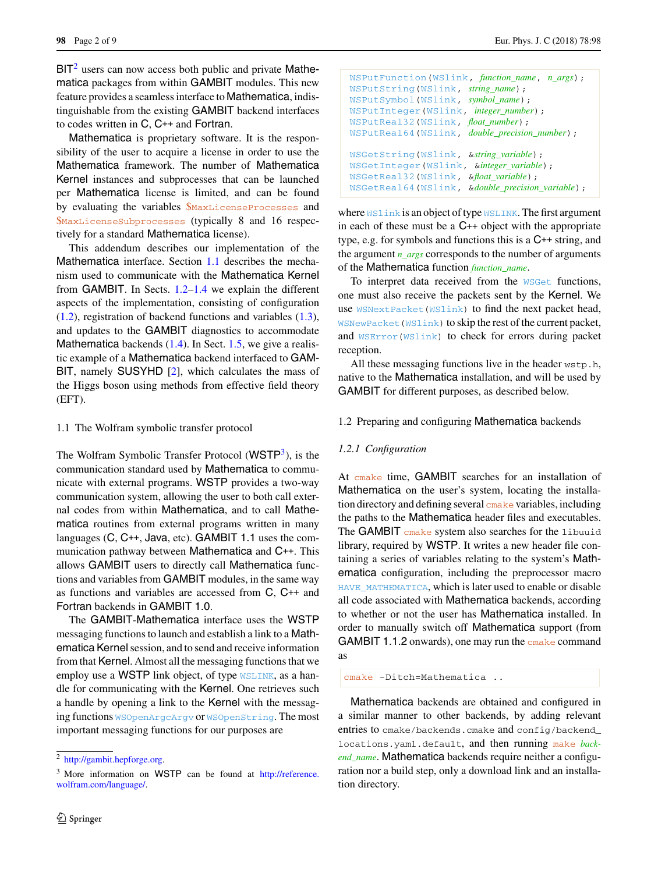$BIT<sup>2</sup>$  $BIT<sup>2</sup>$  $BIT<sup>2</sup>$  users can now access both public and private Mathematica packages from within GAMBIT modules. This new feature provides a seamless interface to Mathematica, indistinguishable from the existing GAMBIT backend interfaces to codes written in C, C++ and Fortran.

Mathematica is proprietary software. It is the responsibility of the user to acquire a license in order to use the Mathematica framework. The number of Mathematica Kernel instances and subprocesses that can be launched per Mathematica license is limited, and can be found by evaluating the variables \$MaxLicenseProcesses and \$MaxLicenseSubprocesses (typically 8 and 16 respectively for a standard Mathematica license).

This addendum describes our implementation of the Mathematica interface. Section [1.1](#page-1-1) describes the mechanism used to communicate with the Mathematica Kernel from GAMBIT. In Sects. [1.2](#page-1-2)[–1.4](#page-4-0) we explain the different aspects of the implementation, consisting of configuration [\(1.2\)](#page-1-2), registration of backend functions and variables [\(1.3\)](#page-2-0), and updates to the GAMBIT diagnostics to accommodate Mathematica backends  $(1.4)$ . In Sect. [1.5,](#page-5-0) we give a realistic example of a Mathematica backend interfaced to GAM-BIT, namely SUSYHD [\[2\]](#page-8-1), which calculates the mass of the Higgs boson using methods from effective field theory (EFT).

## <span id="page-1-1"></span>1.1 The Wolfram symbolic transfer protocol

The Wolfram Symbolic Transfer Protocol  $(WSTP<sup>3</sup>)$ , is the communication standard used by Mathematica to communicate with external programs. WSTP provides a two-way communication system, allowing the user to both call external codes from within Mathematica, and to call Mathematica routines from external programs written in many languages (C, C++, Java, etc). GAMBIT 1.1 uses the communication pathway between Mathematica and C++. This allows GAMBIT users to directly call Mathematica functions and variables from GAMBIT modules, in the same way as functions and variables are accessed from C, C++ and Fortran backends in GAMBIT 1.0.

The GAMBIT-Mathematica interface uses the WSTP messaging functions to launch and establish a link to a Mathematica Kernel session, and to send and receive information from that Kernel. Almost all the messaging functions that we employ use a WSTP link object, of type WSLINK, as a handle for communicating with the Kernel. One retrieves such a handle by opening a link to the Kernel with the messaging functions WSOpenArgcArgv or WSOpenString. The most important messaging functions for our purposes are

```
WSPutFunction(WSlink, function_name, n_args);
WSPutString(WSlink, string_name);
WSPutSymbol(WSlink, symbol_name);
WSPutInteger(WSlink, integer_number);
WSPutReal32(WSlink, float_number);
WSPutReal64(WSlink, double_precision_number);
WSGetString(WSlink, &string_variable);
WSGetInteger(WSlink, &integer_variable);
WSGetReal32(WSlink, &float_variable);
WSGetReal64(WSlink, &double_precision_variable);
```
where WSlink is an object of type WSLINK. The first argument in each of these must be a C++ object with the appropriate type, e.g. for symbols and functions this is a C++ string, and the argument *n\_args* corresponds to the number of arguments of the Mathematica function *function\_name*.

To interpret data received from the WSGet functions, one must also receive the packets sent by the Kernel. We use WSNextPacket(WSlink) to find the next packet head, WSNewPacket(WSlink) to skip the rest of the current packet, and WSError(WSlink) to check for errors during packet reception.

All these messaging functions live in the header wstp.h, native to the Mathematica installation, and will be used by GAMBIT for different purposes, as described below.

# <span id="page-1-2"></span>1.2 Preparing and configuring Mathematica backends

#### *1.2.1 Configuration*

At cmake time, GAMBIT searches for an installation of Mathematica on the user's system, locating the installation directory and defining several cmake variables, including the paths to the Mathematica header files and executables. The GAMBIT cmake system also searches for the libuuid library, required by WSTP. It writes a new header file containing a series of variables relating to the system's Mathematica configuration, including the preprocessor macro HAVE\_MATHEMATICA, which is later used to enable or disable all code associated with Mathematica backends, according to whether or not the user has Mathematica installed. In order to manually switch off Mathematica support (from GAMBIT 1.1.2 onwards), one may run the cmake command as

cmake -Ditch=Mathematica ..

Mathematica backends are obtained and configured in a similar manner to other backends, by adding relevant entries to cmake/backends.cmake and config/backend locations.yaml.default, and then running make *backend\_name*. Mathematica backends require neither a configuration nor a build step, only a download link and an installation directory.

<sup>&</sup>lt;sup>2</sup> [http://gambit.hepforge.org.](http://gambit.hepforge.org)

<span id="page-1-3"></span><span id="page-1-0"></span><sup>3</sup> More information on WSTP can be found at [http://reference.](http://reference.wolfram.com/language/) [wolfram.com/language/.](http://reference.wolfram.com/language/)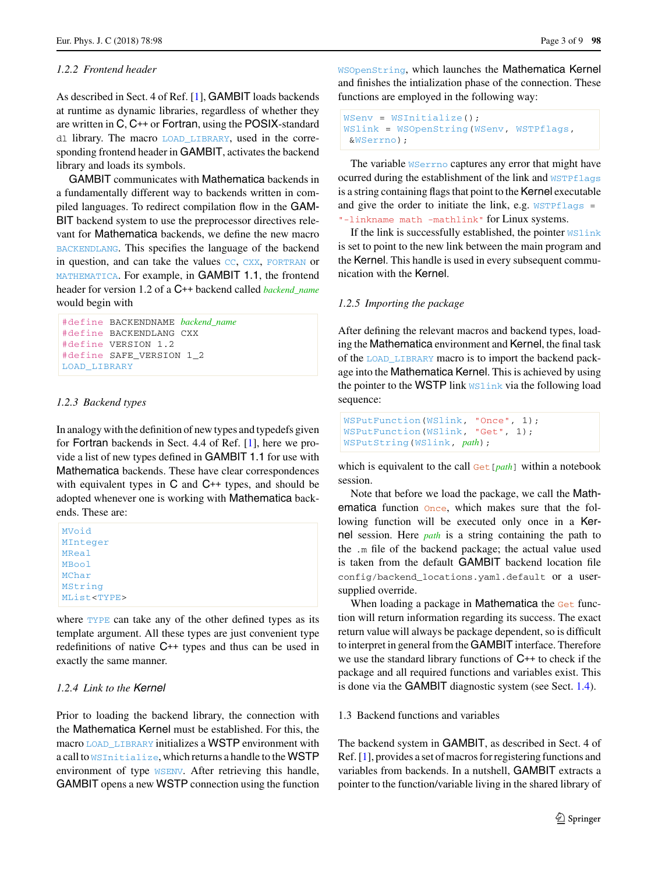# *1.2.2 Frontend header*

As described in Sect. 4 of Ref. [\[1\]](#page-8-0), GAMBIT loads backends at runtime as dynamic libraries, regardless of whether they are written in C, C++ or Fortran, using the POSIX-standard dl library. The macro LOAD\_LIBRARY, used in the corresponding frontend header in GAMBIT, activates the backend library and loads its symbols.

GAMBIT communicates with Mathematica backends in a fundamentally different way to backends written in compiled languages. To redirect compilation flow in the GAM-BIT backend system to use the preprocessor directives relevant for Mathematica backends, we define the new macro BACKENDLANG. This specifies the language of the backend in question, and can take the values CC, CXX, FORTRAN or MATHEMATICA. For example, in GAMBIT 1.1, the frontend header for version 1.2 of a C++ backend called *backend\_name* would begin with

```
#define BACKENDNAME backend_name
#define BACKENDLANG CXX
#define VERSION 1.2
#define SAFE_VERSION 1_2
LOAD_LIBRARY
```
# <span id="page-2-1"></span>*1.2.3 Backend types*

In analogy with the definition of new types and typedefs given for Fortran backends in Sect. 4.4 of Ref. [\[1](#page-8-0)], here we provide a list of new types defined in GAMBIT 1.1 for use with Mathematica backends. These have clear correspondences with equivalent types in C and C++ types, and should be adopted whenever one is working with Mathematica backends. These are:

| MVoid               |  |  |
|---------------------|--|--|
| MInteger            |  |  |
| <b>MReal</b>        |  |  |
| <b>MBool</b>        |  |  |
| MChar               |  |  |
| MString             |  |  |
| MList <type></type> |  |  |
|                     |  |  |

where TYPE can take any of the other defined types as its template argument. All these types are just convenient type redefinitions of native C++ types and thus can be used in exactly the same manner.

# *1.2.4 Link to the* Kernel

Prior to loading the backend library, the connection with the Mathematica Kernel must be established. For this, the macro LOAD\_LIBRARY initializes a WSTP environment with a call to WSInitialize, which returns a handle to the WSTP environment of type WSENV. After retrieving this handle, GAMBIT opens a new WSTP connection using the function

WSOpenString, which launches the Mathematica Kernel and finishes the intialization phase of the connection. These functions are employed in the following way:

```
WSenv = WSInitialize();
WSlink = WSOpenString(WSenv, WSTPflags,
 &WSerrno);
```
The variable WSerrno captures any error that might have ocurred during the establishment of the link and WSTPflags is a string containing flags that point to the Kernel executable and give the order to initiate the link, e.g.  $WSTPflags =$ "-linkname math -mathlink" for Linux systems.

If the link is successfully established, the pointer WSlink is set to point to the new link between the main program and the Kernel. This handle is used in every subsequent communication with the Kernel.

# *1.2.5 Importing the package*

After defining the relevant macros and backend types, loading the Mathematica environment and Kernel, the final task of the LOAD\_LIBRARY macro is to import the backend package into the Mathematica Kernel. This is achieved by using the pointer to the WSTP link WSLink via the following load sequence:

```
WSPutFunction(WSlink, "Once", 1);
WSPutFunction(WSlink, "Get", 1);
WSPutString(WSlink, path);
```
which is equivalent to the call Get[*path*] within a notebook session.

Note that before we load the package, we call the Mathematica function once, which makes sure that the following function will be executed only once in a Kernel session. Here *path* is a string containing the path to the .m file of the backend package; the actual value used is taken from the default GAMBIT backend location file config/backend\_locations.yaml.default or a usersupplied override.

When loading a package in **Mathematica** the Get function will return information regarding its success. The exact return value will always be package dependent, so is difficult to interpret in general from the GAMBIT interface. Therefore we use the standard library functions of C++ to check if the package and all required functions and variables exist. This is done via the GAMBIT diagnostic system (see Sect. [1.4\)](#page-4-0).

## <span id="page-2-0"></span>1.3 Backend functions and variables

The backend system in GAMBIT, as described in Sect. 4 of Ref. [\[1\]](#page-8-0), provides a set of macros for registering functions and variables from backends. In a nutshell, GAMBIT extracts a pointer to the function/variable living in the shared library of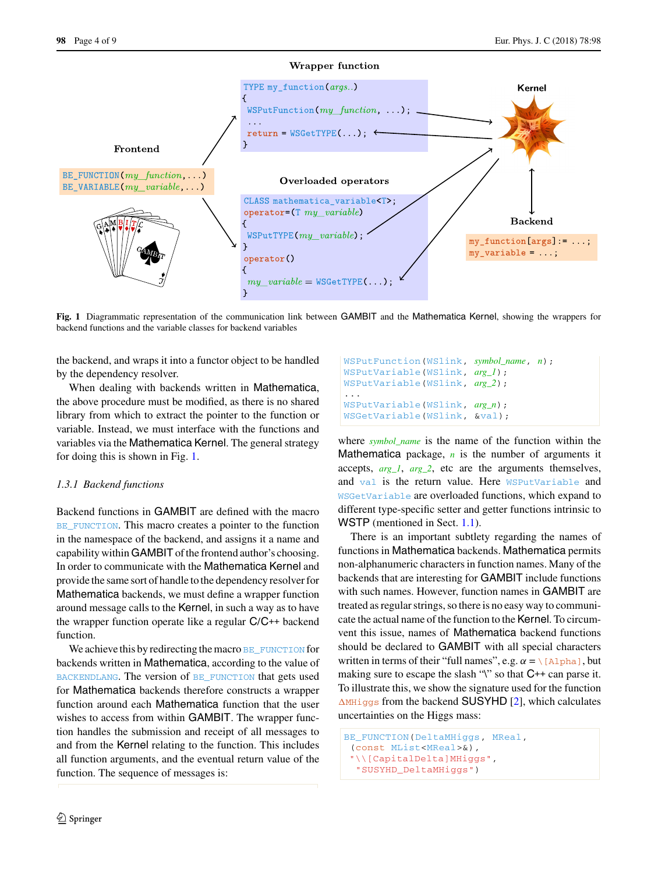

<span id="page-3-0"></span>**Fig. 1** Diagrammatic representation of the communication link between GAMBIT and the Mathematica Kernel, showing the wrappers for backend functions and the variable classes for backend variables

the backend, and wraps it into a functor object to be handled by the dependency resolver.

When dealing with backends written in Mathematica, the above procedure must be modified, as there is no shared library from which to extract the pointer to the function or variable. Instead, we must interface with the functions and variables via the Mathematica Kernel. The general strategy for doing this is shown in Fig. [1.](#page-3-0)

## *1.3.1 Backend functions*

Backend functions in GAMBIT are defined with the macro BE FUNCTION. This macro creates a pointer to the function in the namespace of the backend, and assigns it a name and capability within GAMBIT of the frontend author's choosing. In order to communicate with the Mathematica Kernel and provide the same sort of handle to the dependency resolver for Mathematica backends, we must define a wrapper function around message calls to the Kernel, in such a way as to have the wrapper function operate like a regular C/C++ backend function.

We achieve this by redirecting the macro BE\_FUNCTION for backends written in Mathematica, according to the value of BACKENDLANG. The version of BE\_FUNCTION that gets used for Mathematica backends therefore constructs a wrapper function around each Mathematica function that the user wishes to access from within GAMBIT. The wrapper function handles the submission and receipt of all messages to and from the Kernel relating to the function. This includes all function arguments, and the eventual return value of the function. The sequence of messages is:

WSPutFunction(WSlink, *symbol\_name*, *n*); WSPutVariable(WSlink, *arg\_1*); WSPutVariable(WSlink, *arg\_2*); ... WSPutVariable(WSlink, *arg\_n*); WSGetVariable(WSlink, &val);

where *symbol\_name* is the name of the function within the Mathematica package,  $n$  is the number of arguments it accepts, *arg\_1*, *arg\_2*, etc are the arguments themselves, and val is the return value. Here WSPutVariable and WSGetVariable are overloaded functions, which expand to different type-specific setter and getter functions intrinsic to WSTP (mentioned in Sect. [1.1\)](#page-1-1).

There is an important subtlety regarding the names of functions in Mathematica backends. Mathematica permits non-alphanumeric characters in function names. Many of the backends that are interesting for GAMBIT include functions with such names. However, function names in GAMBIT are treated as regular strings, so there is no easy way to communicate the actual name of the function to the Kernel. To circumvent this issue, names of Mathematica backend functions should be declared to GAMBIT with all special characters written in terms of their "full names", e.g.  $\alpha = \setminus [\text{Alpha}]$ , but making sure to escape the slash "\" so that C++ can parse it. To illustrate this, we show the signature used for the function  $\Delta$ MHiggs from the backend SUSYHD [\[2](#page-8-1)], which calculates uncertainties on the Higgs mass:

```
BE_FUNCTION(DeltaMHiggs, MReal,
 (const MList<MReal>&),
 "\\[CapitalDelta]MHiggs",
  "SUSYHD_DeltaMHiggs")
```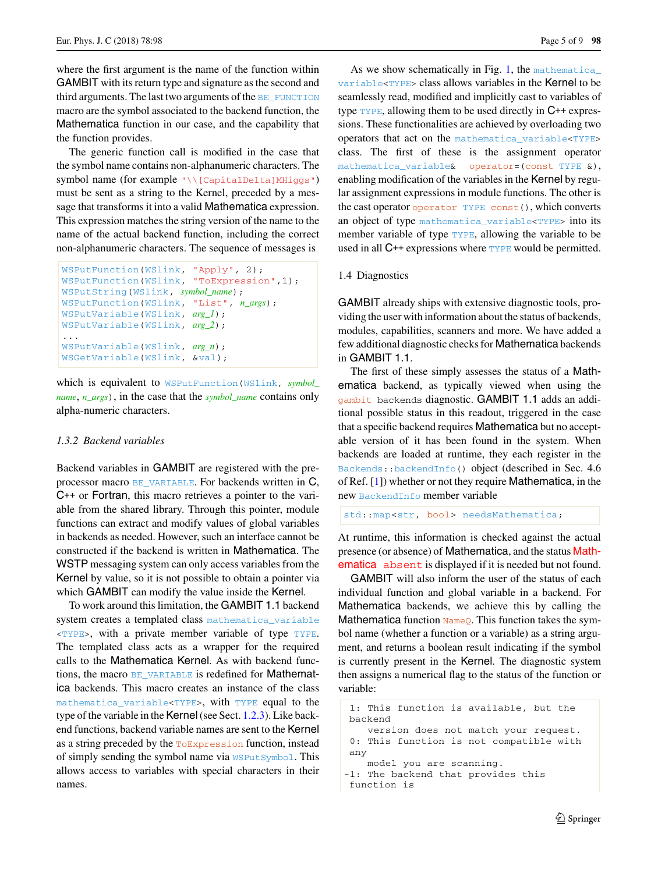where the first argument is the name of the function within GAMBIT with its return type and signature as the second and third arguments. The last two arguments of the BE\_FUNCTION macro are the symbol associated to the backend function, the Mathematica function in our case, and the capability that the function provides.

The generic function call is modified in the case that the symbol name contains non-alphanumeric characters. The symbol name (for example "\\[CapitalDelta]MHiggs") must be sent as a string to the Kernel, preceded by a message that transforms it into a valid Mathematica expression. This expression matches the string version of the name to the name of the actual backend function, including the correct non-alphanumeric characters. The sequence of messages is

```
WSPutFunction(WSlink, "Apply", 2);
WSPutFunction(WSlink, "ToExpression",1);
WSPutString(WSlink, symbol_name);
WSPutFunction(WSlink, "List", n_args);
WSPutVariable(WSlink, arg_1);
WSPutVariable(WSlink, arg_2);
...
WSPutVariable(WSlink, arg_n);
WSGetVariable(WSlink, &val);
```
which is equivalent to WSPutFunction(WSlink, *symbol\_ name*, *n\_args*), in the case that the *symbol\_name* contains only alpha-numeric characters.

## *1.3.2 Backend variables*

Backend variables in GAMBIT are registered with the preprocessor macro BE\_VARIABLE. For backends written in C, C++ or Fortran, this macro retrieves a pointer to the variable from the shared library. Through this pointer, module functions can extract and modify values of global variables in backends as needed. However, such an interface cannot be constructed if the backend is written in Mathematica. The WSTP messaging system can only access variables from the Kernel by value, so it is not possible to obtain a pointer via which GAMBIT can modify the value inside the Kernel.

To work around this limitation, the GAMBIT 1.1 backend system creates a templated class mathematica\_variable  $\langle$ TYPE>, with a private member variable of type TYPE. The templated class acts as a wrapper for the required calls to the Mathematica Kernel. As with backend functions, the macro BE\_VARIABLE is redefined for **Mathemat**ica backends. This macro creates an instance of the class mathematica\_variable<TYPE>, with TYPE equal to the type of the variable in the Kernel(see Sect. [1.2.3\)](#page-2-1). Like backend functions, backend variable names are sent to the Kernel as a string preceded by the ToExpression function, instead of simply sending the symbol name via WSPutSymbol. This allows access to variables with special characters in their names.

As we show schematically in Fig. [1,](#page-3-0) the mathematica variable<TYPE> class allows variables in the Kernel to be seamlessly read, modified and implicitly cast to variables of type  $TYPE$ , allowing them to be used directly in  $C++$  expressions. These functionalities are achieved by overloading two operators that act on the mathematica\_variable<TYPE> class. The first of these is the assignment operator mathematica\_variable& operator=(const TYPE &), enabling modification of the variables in the Kernel by regular assignment expressions in module functions. The other is the cast operator operator TYPE const(), which converts an object of type mathematica\_variable<TYPE> into its member variable of type TYPE, allowing the variable to be used in all C++ expressions where **TYPE** would be permitted.

## <span id="page-4-0"></span>1.4 Diagnostics

GAMBIT already ships with extensive diagnostic tools, providing the user with information about the status of backends, modules, capabilities, scanners and more. We have added a few additional diagnostic checks for Mathematica backends in GAMBIT 1.1.

The first of these simply assesses the status of a Mathematica backend, as typically viewed when using the gambit backends diagnostic. GAMBIT 1.1 adds an additional possible status in this readout, triggered in the case that a specific backend requires Mathematica but no acceptable version of it has been found in the system. When backends are loaded at runtime, they each register in the Backends::backendInfo() object (described in Sec. 4.6 of Ref. [\[1\]](#page-8-0)) whether or not they require Mathematica, in the new BackendInfo member variable

```
std:: map<str, bool> needsMathematica;
```
At runtime, this information is checked against the actual presence (or absence) of Mathematica, and the status Mathematica absent is displayed if it is needed but not found.

GAMBIT will also inform the user of the status of each individual function and global variable in a backend. For Mathematica backends, we achieve this by calling the Mathematica function  $\text{NameQ.}$  This function takes the symbol name (whether a function or a variable) as a string argument, and returns a boolean result indicating if the symbol is currently present in the Kernel. The diagnostic system then assigns a numerical flag to the status of the function or variable:

```
1: This function is available, but the
backend
   version does not match your request.
0: This function is not compatible with
any
   model you are scanning.
-1: The backend that provides this
function is
```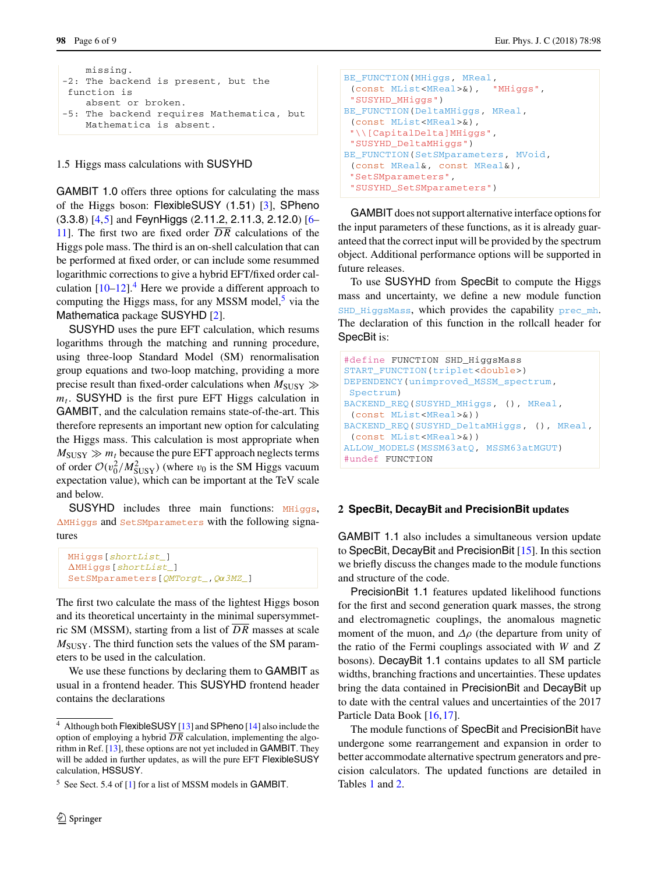```
missing.
-2: The backend is present, but the
function is
   absent or broken.
-5: The backend requires Mathematica, but
   Mathematica is absent.
```
<span id="page-5-0"></span>1.5 Higgs mass calculations with SUSYHD

GAMBIT 1.0 offers three options for calculating the mass of the Higgs boson: FlexibleSUSY (1.51) [\[3\]](#page-8-2), SPheno (3.3.8) [\[4](#page-8-3)[,5](#page-8-4)] and FeynHiggs (2.11.2, 2.11.3, 2.12.0) [\[6](#page-8-5)– [11\]](#page-8-6). The first two are fixed order  $\overline{DR}$  calculations of the Higgs pole mass. The third is an on-shell calculation that can be performed at fixed order, or can include some resummed logarithmic corrections to give a hybrid EFT/fixed order calculation  $[10-12]$  $[10-12]$ <sup>[4](#page-5-1)</sup>. Here we provide a different approach to computing the Higgs mass, for any MSSM model, $5$  via the Mathematica package SUSYHD [\[2](#page-8-1)].

SUSYHD uses the pure EFT calculation, which resums logarithms through the matching and running procedure, using three-loop Standard Model (SM) renormalisation group equations and two-loop matching, providing a more precise result than fixed-order calculations when  $M_{\text{SUSY}} \gg$  $m_t$ . SUSYHD is the first pure EFT Higgs calculation in GAMBIT, and the calculation remains state-of-the-art. This therefore represents an important new option for calculating the Higgs mass. This calculation is most appropriate when  $M_{\text{SUSY}} \gg m_t$  because the pure EFT approach neglects terms of order  $\mathcal{O}(v_0^2/M_{\text{SUSY}}^2)$  (where  $v_0$  is the SM Higgs vacuum expectation value), which can be important at the TeV scale and below.

SUSYHD includes three main functions: MHiggs, MHiggs and SetSMparameters with the following signatures

```
MHiggs[shortList_]
MHiggs[shortList_]
SetSMparameters[QMTorgt_,Qα3MZ_]
```
The first two calculate the mass of the lightest Higgs boson and its theoretical uncertainty in the minimal supersymmetric SM (MSSM), starting from a list of *D R* masses at scale *M*SUSY. The third function sets the values of the SM parameters to be used in the calculation.

We use these functions by declaring them to GAMBIT as usual in a frontend header. This SUSYHD frontend header contains the declarations

```
BE_FUNCTION(MHiggs, MReal,
 (const MList<MReal>&), "MHiggs",
 "SUSYHD_MHiggs")
BE_FUNCTION(DeltaMHiggs, MReal,
 (const MList<MReal>&),
 "\\[CapitalDelta]MHiggs",
"SUSYHD_DeltaMHiggs")
BE_FUNCTION(SetSMparameters, MVoid,
 (const MReal&, const MReal&),
 "SetSMparameters",
 "SUSYHD_SetSMparameters")
```
GAMBIT does not support alternative interface options for the input parameters of these functions, as it is already guaranteed that the correct input will be provided by the spectrum object. Additional performance options will be supported in future releases.

To use SUSYHD from SpecBit to compute the Higgs mass and uncertainty, we define a new module function SHD HiggsMass, which provides the capability prec\_mh. The declaration of this function in the rollcall header for SpecBit is:

```
#define FUNCTION SHD_HiggsMass
START_FUNCTION(triplet<double>)
DEPENDENCY(unimproved_MSSM_spectrum,
Spectrum)
BACKEND_REQ(SUSYHD_MHiggs, (), MReal,
 (const MList<MReal>&))
BACKEND_REQ(SUSYHD_DeltaMHiggs, (), MReal,
 (const MList<MReal>&))
ALLOW_MODELS(MSSM63atQ, MSSM63atMGUT)
#undef FUNCTION
```
## **2 SpecBit, DecayBit and PrecisionBit updates**

GAMBIT 1.1 also includes a simultaneous version update to SpecBit, DecayBit and PrecisionBit [\[15](#page-8-11)]. In this section we briefly discuss the changes made to the module functions and structure of the code.

PrecisionBit 1.1 features updated likelihood functions for the first and second generation quark masses, the strong and electromagnetic couplings, the anomalous magnetic moment of the muon, and  $\Delta \rho$  (the departure from unity of the ratio of the Fermi couplings associated with *W* and *Z* bosons). DecayBit 1.1 contains updates to all SM particle widths, branching fractions and uncertainties. These updates bring the data contained in PrecisionBit and DecayBit up to date with the central values and uncertainties of the 2017 Particle Data Book [\[16,](#page-8-12)[17\]](#page-8-13).

The module functions of SpecBit and PrecisionBit have undergone some rearrangement and expansion in order to better accommodate alternative spectrum generators and precision calculators. The updated functions are detailed in Tables [1](#page-6-0) and [2.](#page-7-0)

<span id="page-5-1"></span><sup>4</sup> Although both FlexibleSUSY [\[13\]](#page-8-9) and SPheno [\[14](#page-8-10)] also include the option of employing a hybrid *D R* calculation, implementing the algorithm in Ref. [\[13\]](#page-8-9), these options are not yet included in GAMBIT. They will be added in further updates, as will the pure EFT FlexibleSUSY calculation, HSSUSY.

<span id="page-5-2"></span> $<sup>5</sup>$  See Sect. 5.4 of [\[1](#page-8-0)] for a list of MSSM models in GAMBIT.</sup>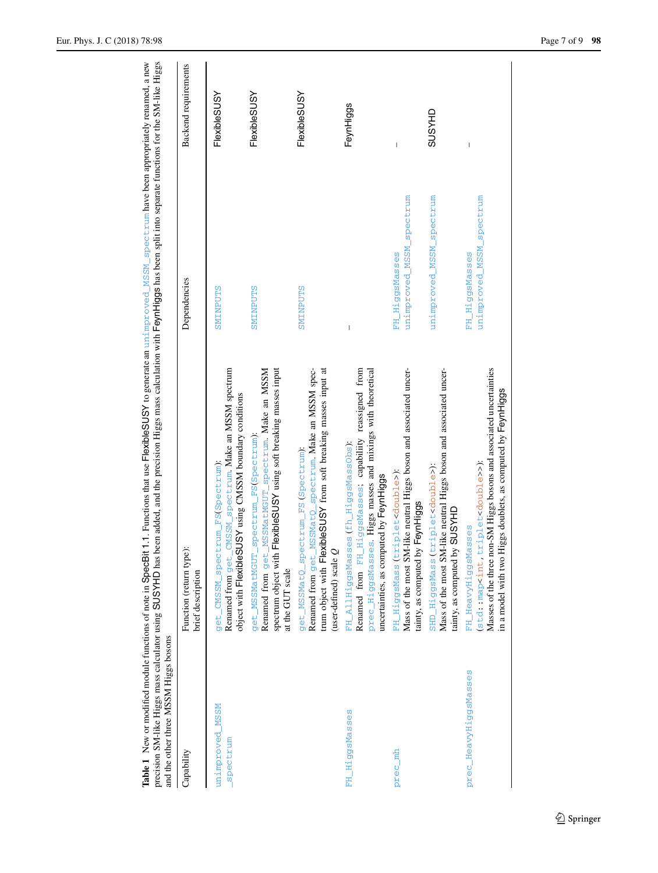<span id="page-6-0"></span>

| and the other three MSSM Higgs bosons | Table 1 New or modified module functions of note in SpecBit 1.1. Functions that use FlexibleSUSY to generate an unimproved MSSM spectrum have been appropriately renamed, a new<br>precision SM-like Higgs mass calculator using SUSYHD has been added, and the precision Higgs mass calculation with FeynHiggs has been split into separate functions for the SM-like Higgs |                                            |                             |
|---------------------------------------|------------------------------------------------------------------------------------------------------------------------------------------------------------------------------------------------------------------------------------------------------------------------------------------------------------------------------------------------------------------------------|--------------------------------------------|-----------------------------|
| Capability                            | je):<br>Function (return typ<br>brief description                                                                                                                                                                                                                                                                                                                            | Dependencies                               | <b>Backend</b> requirements |
| unimproved MSSM<br>spectrum           | CMSSM_spectrum. Make an MSSM spectrum<br>object with FlexibleSUSY using CMSSM boundary conditions<br>get_CMSSM_spectrum_FS(Spectrum):<br>Renamed from get_                                                                                                                                                                                                                   | SMINPUTS                                   | FlexibleSUSY                |
|                                       | Renamed from get_MSSMatMGUT_spectrum. Make an MSSM<br>spectrum object with FlexibleSUSY using soft breaking masses input<br>get_MSSMatMGUT_spectrum_FS(Spectrum)<br>at the GUT scale                                                                                                                                                                                         | <b>SMINPUTS</b>                            | <b>FlexibleSUSY</b>         |
|                                       | Renamed from get_MSSMatQ_spectrum. Make an MSSM spec-<br>trum object with FlexibleSUSY from soft breaking masses input at<br>get_MSSMatQ_spectrum_FS (Spectrum):<br>(user-defined) scale $Q$                                                                                                                                                                                 | SMINPUTS                                   | FlexibleSUSY                |
| FH_HiggsMasses                        | Renamed from FH_HiggsMasses; capabiliity reassigned from<br>prec_HiggsMasses. Higgs masses and mixings with theoretical<br>FH_AllHiggsMasses (fh_HiggsMassObs)<br>uncertainties, as computed by FeynHiggs                                                                                                                                                                    | I                                          | FeynHiggs                   |
| prec mh                               | Mass of the most SM-like neutral Higgs boson and associated uncer-<br>triplet <double>);<br/>tainty, as computed by FeynHiggs<br/>FH_HiggsMass</double>                                                                                                                                                                                                                      | unimproved_MSSM_spectrum<br>FH_HiggsMasses | I                           |
|                                       | Mass of the most SM-like neutral Higgs boson and associated uncer-<br>SHD_HiggsMass (triplet <double>):<br/>tainty, as computed by SUSYHD</double>                                                                                                                                                                                                                           | unimproved_MSSM_spectrum                   | <b>GHASNS</b>               |
| prec_HeavyHiggsMasses                 | Masses of the three non-SM Higgs bosons and associated uncertainties<br>in a model with two Higgs doublets, as computed by FeynHiggs<br>(std: :map <int, triplet<double="">&gt;);<br/>FH_HeavyHiggsMasses</int,>                                                                                                                                                             | unimproved_MSSM_spectrum<br>FH_HiggsMasses | I                           |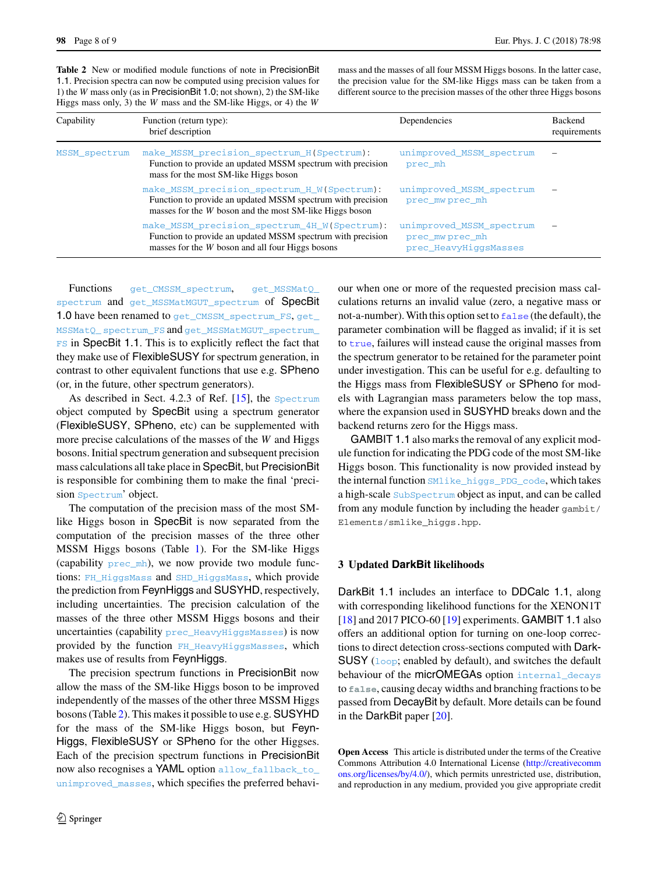<span id="page-7-0"></span>**Table 2** New or modified module functions of note in PrecisionBit 1.1. Precision spectra can now be computed using precision values for 1) the *W* mass only (as in PrecisionBit 1.0; not shown), 2) the SM-like Higgs mass only, 3) the *W* mass and the SM-like Higgs, or 4) the *W*

mass and the masses of all four MSSM Higgs bosons. In the latter case, the precision value for the SM-like Higgs mass can be taken from a different source to the precision masses of the other three Higgs bosons

| Capability    | Function (return type):<br>brief description                                                                                                                           | Dependencies                                                        | Backend<br>requirements |
|---------------|------------------------------------------------------------------------------------------------------------------------------------------------------------------------|---------------------------------------------------------------------|-------------------------|
| MSSM spectrum | make MSSM precision spectrum H(Spectrum):<br>Function to provide an updated MSSM spectrum with precision<br>mass for the most SM-like Higgs boson                      | unimproved MSSM spectrum<br>prec mh                                 |                         |
|               | make MSSM precision spectrum H W (Spectrum):<br>Function to provide an updated MSSM spectrum with precision<br>masses for the W boson and the most SM-like Higgs boson | unimproved MSSM spectrum<br>prec mw prec mh                         |                         |
|               | make MSSM precision spectrum 4H W(Spectrum):<br>Function to provide an updated MSSM spectrum with precision<br>masses for the <i>W</i> boson and all four Higgs bosons | unimproved_MSSM_spectrum<br>prec_mwprec_mh<br>prec_HeavyHiggsMasses |                         |

Functions get\_CMSSM\_spectrum, get\_MSSMatQ\_ spectrum and get\_MSSMatMGUT\_spectrum of SpecBit 1.0 have been renamed to get\_CMSSM\_spectrum\_FS, get\_ MSSMatQ\_ spectrum\_FS and get\_MSSMatMGUT\_spectrum\_ **FS** in SpecBit 1.1. This is to explicitly reflect the fact that they make use of FlexibleSUSY for spectrum generation, in contrast to other equivalent functions that use e.g. SPheno (or, in the future, other spectrum generators).

As described in Sect. 4.2.3 of Ref. [\[15](#page-8-11)], the Spectrum object computed by SpecBit using a spectrum generator (FlexibleSUSY, SPheno, etc) can be supplemented with more precise calculations of the masses of the *W* and Higgs bosons. Initial spectrum generation and subsequent precision mass calculations all take place in SpecBit, but PrecisionBit is responsible for combining them to make the final 'precision Spectrum' object.

The computation of the precision mass of the most SMlike Higgs boson in SpecBit is now separated from the computation of the precision masses of the three other MSSM Higgs bosons (Table [1\)](#page-6-0). For the SM-like Higgs (capability  $prec_m$ h), we now provide two module functions: FH\_HiggsMass and SHD\_HiggsMass, which provide the prediction from FeynHiggs and SUSYHD, respectively, including uncertainties. The precision calculation of the masses of the three other MSSM Higgs bosons and their uncertainties (capability prec\_HeavyHiggsMasses) is now provided by the function FH\_HeavyHiggsMasses, which makes use of results from FeynHiggs.

The precision spectrum functions in PrecisionBit now allow the mass of the SM-like Higgs boson to be improved independently of the masses of the other three MSSM Higgs bosons (Table [2\)](#page-7-0). This makes it possible to use e.g. SUSYHD for the mass of the SM-like Higgs boson, but Feyn-Higgs, FlexibleSUSY or SPheno for the other Higgses. Each of the precision spectrum functions in PrecisionBit now also recognises a YAML option allow\_fallback\_to\_ unimproved\_masses, which specifies the preferred behaviour when one or more of the requested precision mass calculations returns an invalid value (zero, a negative mass or not-a-number). With this option set to false (the default), the parameter combination will be flagged as invalid; if it is set to true, failures will instead cause the original masses from the spectrum generator to be retained for the parameter point under investigation. This can be useful for e.g. defaulting to the Higgs mass from FlexibleSUSY or SPheno for models with Lagrangian mass parameters below the top mass, where the expansion used in SUSYHD breaks down and the backend returns zero for the Higgs mass.

GAMBIT 1.1 also marks the removal of any explicit module function for indicating the PDG code of the most SM-like Higgs boson. This functionality is now provided instead by the internal function SMlike\_higgs\_PDG\_code, which takes a high-scale SubSpectrum object as input, and can be called from any module function by including the header gambit/ Elements/smlike\_higgs.hpp.

# **3 Updated DarkBit likelihoods**

DarkBit 1.1 includes an interface to DDCalc 1.1, along with corresponding likelihood functions for the XENON1T [\[18](#page-8-14)] and 2017 PICO-60 [\[19\]](#page-8-15) experiments. GAMBIT 1.1 also offers an additional option for turning on one-loop corrections to direct detection cross-sections computed with Dark-SUSY (loop; enabled by default), and switches the default behaviour of the micrOMEGAs option internal\_decays to **false**, causing decay widths and branching fractions to be passed from DecayBit by default. More details can be found in the DarkBit paper [\[20](#page-8-16)].

**Open Access** This article is distributed under the terms of the Creative Commons Attribution 4.0 International License [\(http://creativecomm](http://creativecommons.org/licenses/by/4.0/) [ons.org/licenses/by/4.0/\)](http://creativecommons.org/licenses/by/4.0/), which permits unrestricted use, distribution, and reproduction in any medium, provided you give appropriate credit